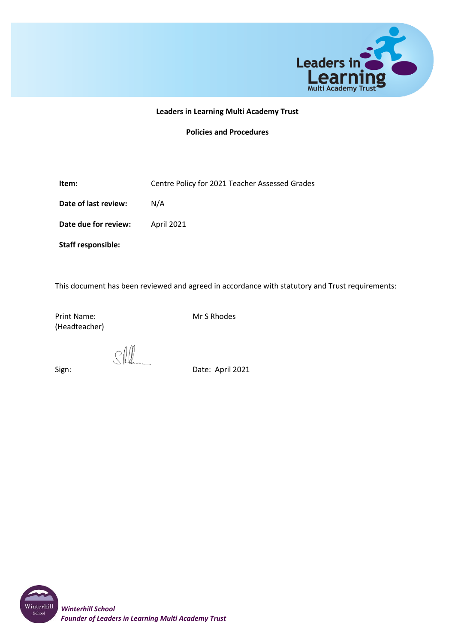

#### **Leaders in Learning Multi Academy Trust**

#### **Policies and Procedures**

**Item:** Centre Policy for 2021 Teacher Assessed Grades

**Date of last review:** N/A

**Date due for review:** April 2021

**Staff responsible:**

This document has been reviewed and agreed in accordance with statutory and Trust requirements:

Print Name: Mr S Rhodes (Headteacher)

 $\mathcal{S}(\mathcal{W})$ 

Sign: Date: April 2021

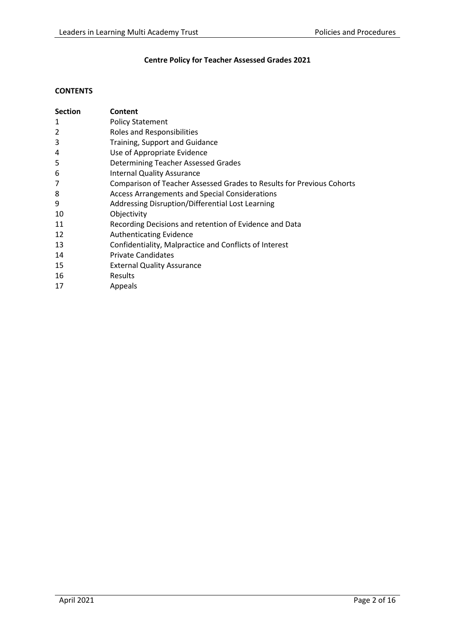# **Centre Policy for Teacher Assessed Grades 2021**

# **CONTENTS**

| <b>Section</b> | Content                                                                      |
|----------------|------------------------------------------------------------------------------|
| 1              | <b>Policy Statement</b>                                                      |
| $\overline{2}$ | Roles and Responsibilities                                                   |
| 3              | Training, Support and Guidance                                               |
| 4              | Use of Appropriate Evidence                                                  |
| 5              | Determining Teacher Assessed Grades                                          |
| 6              | <b>Internal Quality Assurance</b>                                            |
| 7              | <b>Comparison of Teacher Assessed Grades to Results for Previous Cohorts</b> |
| 8              | <b>Access Arrangements and Special Considerations</b>                        |
| 9              | Addressing Disruption/Differential Lost Learning                             |
| 10             | Objectivity                                                                  |
| 11             | Recording Decisions and retention of Evidence and Data                       |
| 12             | <b>Authenticating Evidence</b>                                               |
| 13             | Confidentiality, Malpractice and Conflicts of Interest                       |
| 14             | <b>Private Candidates</b>                                                    |
| 15             | <b>External Quality Assurance</b>                                            |
| 16             | <b>Results</b>                                                               |
| 17             | Appeals                                                                      |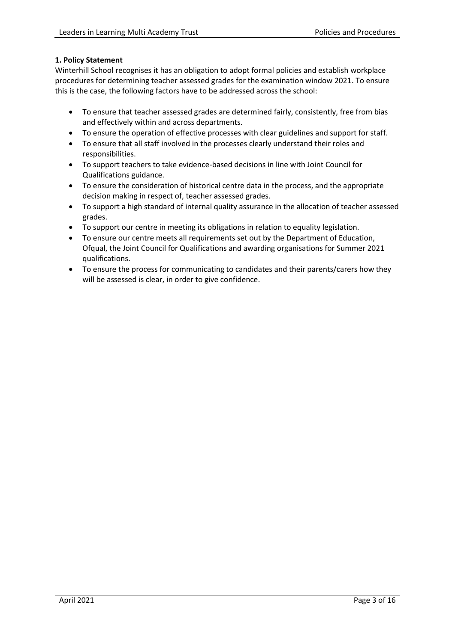# **1. Policy Statement**

Winterhill School recognises it has an obligation to adopt formal policies and establish workplace procedures for determining teacher assessed grades for the examination window 2021. To ensure this is the case, the following factors have to be addressed across the school:

- To ensure that teacher assessed grades are determined fairly, consistently, free from bias and effectively within and across departments.
- To ensure the operation of effective processes with clear guidelines and support for staff.
- To ensure that all staff involved in the processes clearly understand their roles and responsibilities.
- To support teachers to take evidence-based decisions in line with Joint Council for Qualifications guidance.
- To ensure the consideration of historical centre data in the process, and the appropriate decision making in respect of, teacher assessed grades.
- To support a high standard of internal quality assurance in the allocation of teacher assessed grades.
- To support our centre in meeting its obligations in relation to equality legislation.
- To ensure our centre meets all requirements set out by the Department of Education, Ofqual, the Joint Council for Qualifications and awarding organisations for Summer 2021 qualifications.
- To ensure the process for communicating to candidates and their parents/carers how they will be assessed is clear, in order to give confidence.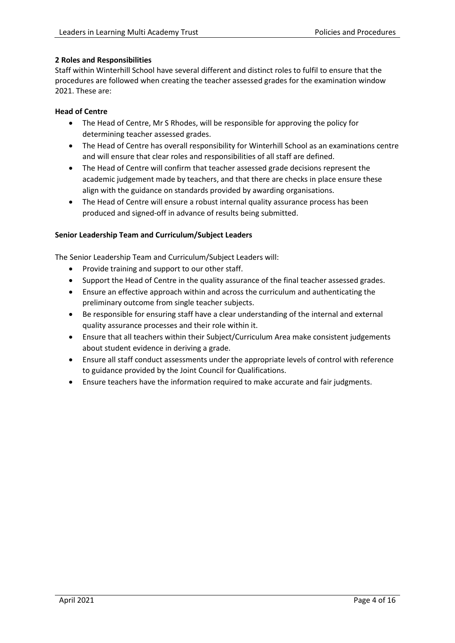# **2 Roles and Responsibilities**

Staff within Winterhill School have several different and distinct roles to fulfil to ensure that the procedures are followed when creating the teacher assessed grades for the examination window 2021. These are:

# **Head of Centre**

- The Head of Centre, Mr S Rhodes, will be responsible for approving the policy for determining teacher assessed grades.
- The Head of Centre has overall responsibility for Winterhill School as an examinations centre and will ensure that clear roles and responsibilities of all staff are defined.
- The Head of Centre will confirm that teacher assessed grade decisions represent the academic judgement made by teachers, and that there are checks in place ensure these align with the guidance on standards provided by awarding organisations.
- The Head of Centre will ensure a robust internal quality assurance process has been produced and signed-off in advance of results being submitted.

### **Senior Leadership Team and Curriculum/Subject Leaders**

The Senior Leadership Team and Curriculum/Subject Leaders will:

- Provide training and support to our other staff.
- Support the Head of Centre in the quality assurance of the final teacher assessed grades.
- Ensure an effective approach within and across the curriculum and authenticating the preliminary outcome from single teacher subjects.
- Be responsible for ensuring staff have a clear understanding of the internal and external quality assurance processes and their role within it.
- Ensure that all teachers within their Subject/Curriculum Area make consistent judgements about student evidence in deriving a grade.
- Ensure all staff conduct assessments under the appropriate levels of control with reference to guidance provided by the Joint Council for Qualifications.
- Ensure teachers have the information required to make accurate and fair judgments.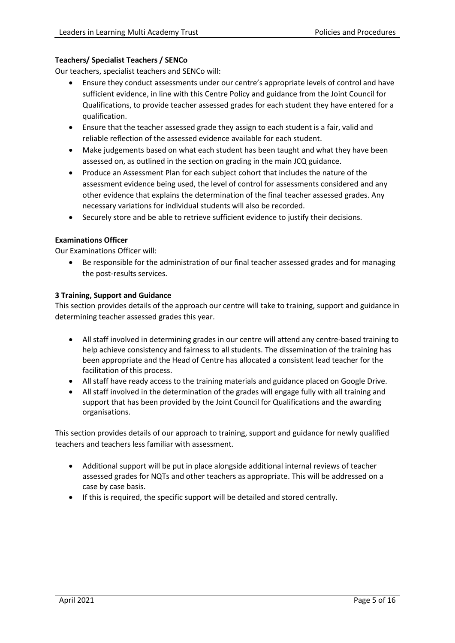# **Teachers/ Specialist Teachers / SENCo**

Our teachers, specialist teachers and SENCo will:

- Ensure they conduct assessments under our centre's appropriate levels of control and have sufficient evidence, in line with this Centre Policy and guidance from the Joint Council for Qualifications, to provide teacher assessed grades for each student they have entered for a qualification.
- Ensure that the teacher assessed grade they assign to each student is a fair, valid and reliable reflection of the assessed evidence available for each student.
- Make judgements based on what each student has been taught and what they have been assessed on, as outlined in the section on grading in the main JCQ guidance.
- Produce an Assessment Plan for each subject cohort that includes the nature of the assessment evidence being used, the level of control for assessments considered and any other evidence that explains the determination of the final teacher assessed grades. Any necessary variations for individual students will also be recorded.
- Securely store and be able to retrieve sufficient evidence to justify their decisions.

### **Examinations Officer**

Our Examinations Officer will:

• Be responsible for the administration of our final teacher assessed grades and for managing the post-results services.

#### **3 Training, Support and Guidance**

This section provides details of the approach our centre will take to training, support and guidance in determining teacher assessed grades this year.

- All staff involved in determining grades in our centre will attend any centre-based training to help achieve consistency and fairness to all students. The dissemination of the training has been appropriate and the Head of Centre has allocated a consistent lead teacher for the facilitation of this process.
- All staff have ready access to the training materials and guidance placed on Google Drive.
- All staff involved in the determination of the grades will engage fully with all training and support that has been provided by the Joint Council for Qualifications and the awarding organisations.

This section provides details of our approach to training, support and guidance for newly qualified teachers and teachers less familiar with assessment.

- Additional support will be put in place alongside additional internal reviews of teacher assessed grades for NQTs and other teachers as appropriate. This will be addressed on a case by case basis.
- If this is required, the specific support will be detailed and stored centrally.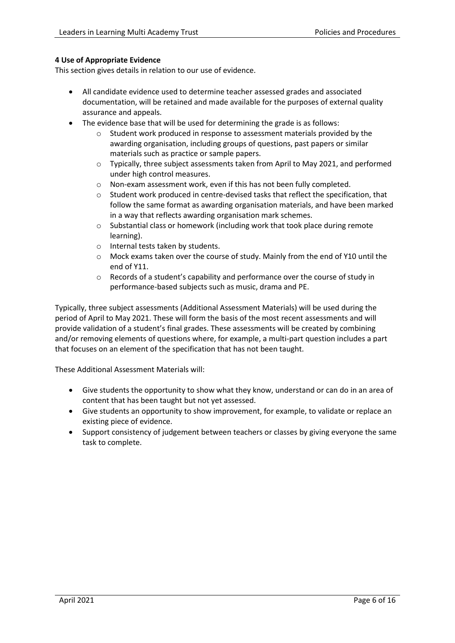# **4 Use of Appropriate Evidence**

This section gives details in relation to our use of evidence.

- All candidate evidence used to determine teacher assessed grades and associated documentation, will be retained and made available for the purposes of external quality assurance and appeals.
- The evidence base that will be used for determining the grade is as follows:
	- o Student work produced in response to assessment materials provided by the awarding organisation, including groups of questions, past papers or similar materials such as practice or sample papers.
	- $\circ$  Typically, three subject assessments taken from April to May 2021, and performed under high control measures.
	- o Non-exam assessment work, even if this has not been fully completed.
	- o Student work produced in centre-devised tasks that reflect the specification, that follow the same format as awarding organisation materials, and have been marked in a way that reflects awarding organisation mark schemes.
	- o Substantial class or homework (including work that took place during remote learning).
	- o Internal tests taken by students.
	- o Mock exams taken over the course of study. Mainly from the end of Y10 until the end of Y11.
	- o Records of a student's capability and performance over the course of study in performance-based subjects such as music, drama and PE.

Typically, three subject assessments (Additional Assessment Materials) will be used during the period of April to May 2021. These will form the basis of the most recent assessments and will provide validation of a student's final grades. These assessments will be created by combining and/or removing elements of questions where, for example, a multi-part question includes a part that focuses on an element of the specification that has not been taught.

These Additional Assessment Materials will:

- Give students the opportunity to show what they know, understand or can do in an area of content that has been taught but not yet assessed.
- Give students an opportunity to show improvement, for example, to validate or replace an existing piece of evidence.
- Support consistency of judgement between teachers or classes by giving everyone the same task to complete.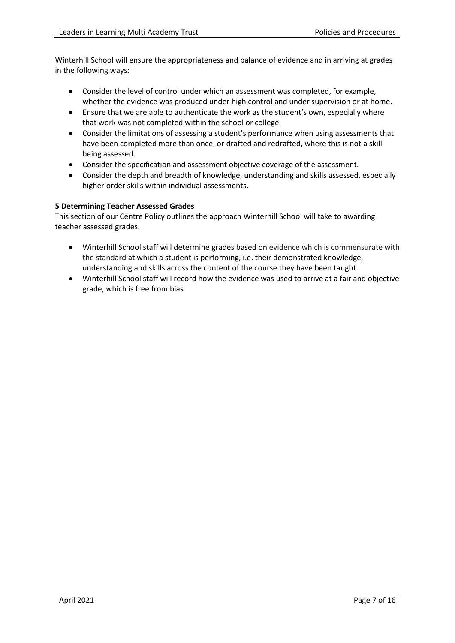Winterhill School will ensure the appropriateness and balance of evidence and in arriving at grades in the following ways:

- Consider the level of control under which an assessment was completed, for example, whether the evidence was produced under high control and under supervision or at home.
- Ensure that we are able to authenticate the work as the student's own, especially where that work was not completed within the school or college.
- Consider the limitations of assessing a student's performance when using assessments that have been completed more than once, or drafted and redrafted, where this is not a skill being assessed.
- Consider the specification and assessment objective coverage of the assessment.
- Consider the depth and breadth of knowledge, understanding and skills assessed, especially higher order skills within individual assessments.

# **5 Determining Teacher Assessed Grades**

This section of our Centre Policy outlines the approach Winterhill School will take to awarding teacher assessed grades.

- Winterhill School staff will determine grades based on evidence which is commensurate with the standard at which a student is performing, i.e. their demonstrated knowledge, understanding and skills across the content of the course they have been taught.
- Winterhill School staff will record how the evidence was used to arrive at a fair and objective grade, which is free from bias.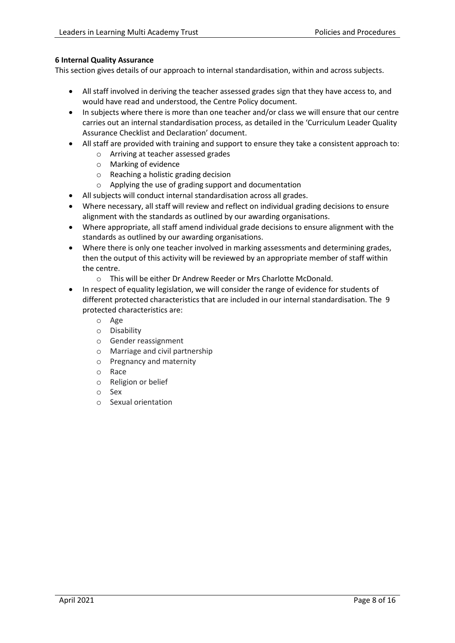# **6 Internal Quality Assurance**

This section gives details of our approach to internal standardisation, within and across subjects.

- All staff involved in deriving the teacher assessed grades sign that they have access to, and would have read and understood, the Centre Policy document.
- In subjects where there is more than one teacher and/or class we will ensure that our centre carries out an internal standardisation process, as detailed in the 'Curriculum Leader Quality Assurance Checklist and Declaration' document.
- All staff are provided with training and support to ensure they take a consistent approach to:
	- o Arriving at teacher assessed grades
	- o Marking of evidence
	- o Reaching a holistic grading decision
	- o Applying the use of grading support and documentation
- All subjects will conduct internal standardisation across all grades.
- Where necessary, all staff will review and reflect on individual grading decisions to ensure alignment with the standards as outlined by our awarding organisations.
- Where appropriate, all staff amend individual grade decisions to ensure alignment with the standards as outlined by our awarding organisations.
- Where there is only one teacher involved in marking assessments and determining grades, then the output of this activity will be reviewed by an appropriate member of staff within the centre.
	- o This will be either Dr Andrew Reeder or Mrs Charlotte McDonald.
- In respect of equality legislation, we will consider the range of evidence for students of different protected characteristics that are included in our internal standardisation. The 9 protected characteristics are:
	- o Age
	- o Disability
	- o Gender reassignment
	- o Marriage and civil partnership
	- o Pregnancy and maternity
	- o Race
	- o Religion or belief
	- o Sex
	- o Sexual orientation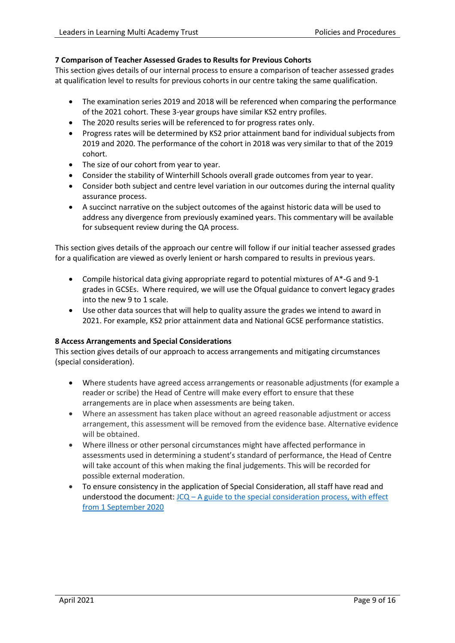# **7 Comparison of Teacher Assessed Grades to Results for Previous Cohorts**

This section gives details of our internal process to ensure a comparison of teacher assessed grades at qualification level to results for previous cohorts in our centre taking the same qualification.

- The examination series 2019 and 2018 will be referenced when comparing the performance of the 2021 cohort. These 3-year groups have similar KS2 entry profiles.
- The 2020 results series will be referenced to for progress rates only.
- Progress rates will be determined by KS2 prior attainment band for individual subjects from 2019 and 2020. The performance of the cohort in 2018 was very similar to that of the 2019 cohort.
- The size of our cohort from year to year.
- Consider the stability of Winterhill Schools overall grade outcomes from year to year.
- Consider both subject and centre level variation in our outcomes during the internal quality assurance process.
- A succinct narrative on the subject outcomes of the against historic data will be used to address any divergence from previously examined years. This commentary will be available for subsequent review during the QA process.

This section gives details of the approach our centre will follow if our initial teacher assessed grades for a qualification are viewed as overly lenient or harsh compared to results in previous years.

- Compile historical data giving appropriate regard to potential mixtures of A\*-G and 9-1 grades in GCSEs. Where required, we will use the Ofqual guidance to convert legacy grades into the new 9 to 1 scale.
- Use other data sources that will help to quality assure the grades we intend to award in 2021. For example, KS2 prior attainment data and National GCSE performance statistics.

# **8 Access Arrangements and Special Considerations**

This section gives details of our approach to access arrangements and mitigating circumstances (special consideration).

- Where students have agreed access arrangements or reasonable adjustments (for example a reader or scribe) the Head of Centre will make every effort to ensure that these arrangements are in place when assessments are being taken.
- Where an assessment has taken place without an agreed reasonable adjustment or access arrangement, this assessment will be removed from the evidence base. Alternative evidence will be obtained.
- Where illness or other personal circumstances might have affected performance in assessments used in determining a student's standard of performance, the Head of Centre will take account of this when making the final judgements. This will be recorded for possible external moderation.
- To ensure consistency in the application of Special Consideration, all staff have read and understood the document:  $JCQ - A$  guide to the special consideration process, with effect [from 1 September 2020](https://www.jcq.org.uk/wp-content/uploads/2020/08/A-guide-to-the-spec-con-process-202021-Website-version.pdf)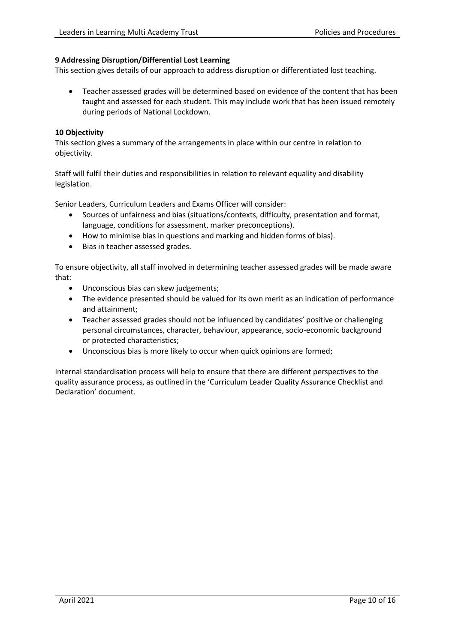### **9 Addressing Disruption/Differential Lost Learning**

This section gives details of our approach to address disruption or differentiated lost teaching.

• Teacher assessed grades will be determined based on evidence of the content that has been taught and assessed for each student. This may include work that has been issued remotely during periods of National Lockdown.

#### **10 Objectivity**

This section gives a summary of the arrangements in place within our centre in relation to objectivity.

Staff will fulfil their duties and responsibilities in relation to relevant equality and disability legislation.

Senior Leaders, Curriculum Leaders and Exams Officer will consider:

- Sources of unfairness and bias (situations/contexts, difficulty, presentation and format, language, conditions for assessment, marker preconceptions).
- How to minimise bias in questions and marking and hidden forms of bias).
- Bias in teacher assessed grades.

To ensure objectivity, all staff involved in determining teacher assessed grades will be made aware that:

- Unconscious bias can skew judgements;
- The evidence presented should be valued for its own merit as an indication of performance and attainment;
- Teacher assessed grades should not be influenced by candidates' positive or challenging personal circumstances, character, behaviour, appearance, socio-economic background or protected characteristics;
- Unconscious bias is more likely to occur when quick opinions are formed;

Internal standardisation process will help to ensure that there are different perspectives to the quality assurance process, as outlined in the 'Curriculum Leader Quality Assurance Checklist and Declaration' document.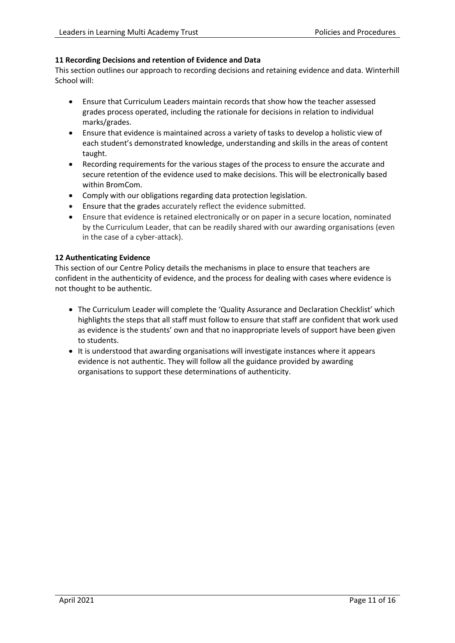# **11 Recording Decisions and retention of Evidence and Data**

This section outlines our approach to recording decisions and retaining evidence and data. Winterhill School will:

- Ensure that Curriculum Leaders maintain records that show how the teacher assessed grades process operated, including the rationale for decisions in relation to individual marks/grades.
- Ensure that evidence is maintained across a variety of tasks to develop a holistic view of each student's demonstrated knowledge, understanding and skills in the areas of content taught.
- Recording requirements for the various stages of the process to ensure the accurate and secure retention of the evidence used to make decisions. This will be electronically based within BromCom.
- Comply with our obligations regarding data protection legislation.
- Ensure that the grades accurately reflect the evidence submitted.
- Ensure that evidence is retained electronically or on paper in a secure location, nominated by the Curriculum Leader, that can be readily shared with our awarding organisations (even in the case of a cyber-attack).

# **12 Authenticating Evidence**

This section of our Centre Policy details the mechanisms in place to ensure that teachers are confident in the authenticity of evidence, and the process for dealing with cases where evidence is not thought to be authentic.

- The Curriculum Leader will complete the 'Quality Assurance and Declaration Checklist' which highlights the steps that all staff must follow to ensure that staff are confident that work used as evidence is the students' own and that no inappropriate levels of support have been given to students.
- It is understood that awarding organisations will investigate instances where it appears evidence is not authentic. They will follow all the guidance provided by awarding organisations to support these determinations of authenticity.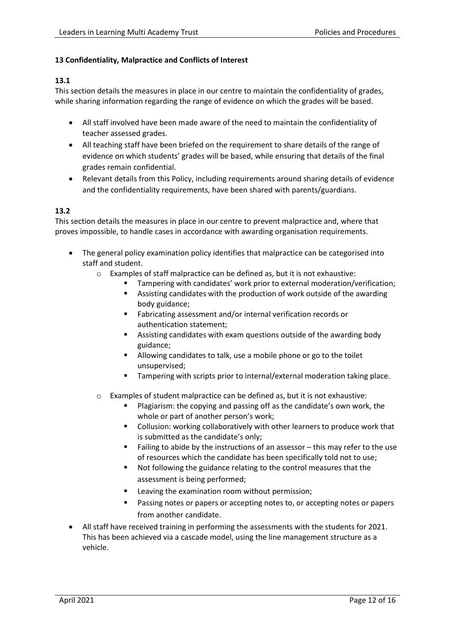# **13 Confidentiality, Malpractice and Conflicts of Interest**

# **13.1**

This section details the measures in place in our centre to maintain the confidentiality of grades, while sharing information regarding the range of evidence on which the grades will be based.

- All staff involved have been made aware of the need to maintain the confidentiality of teacher assessed grades.
- All teaching staff have been briefed on the requirement to share details of the range of evidence on which students' grades will be based, while ensuring that details of the final grades remain confidential.
- Relevant details from this Policy, including requirements around sharing details of evidence and the confidentiality requirements, have been shared with parents/guardians.

### **13.2**

This section details the measures in place in our centre to prevent malpractice and, where that proves impossible, to handle cases in accordance with awarding organisation requirements.

- The general policy examination policy identifies that malpractice can be categorised into staff and student.
	- o Examples of staff malpractice can be defined as, but it is not exhaustive:
		- Tampering with candidates' work prior to external moderation/verification;
		- Assisting candidates with the production of work outside of the awarding body guidance;
		- Fabricating assessment and/or internal verification records or authentication statement;
		- Assisting candidates with exam questions outside of the awarding body guidance;
		- Allowing candidates to talk, use a mobile phone or go to the toilet unsupervised;
		- Tampering with scripts prior to internal/external moderation taking place.
	- Examples of student malpractice can be defined as, but it is not exhaustive:
		- Plagiarism: the copying and passing off as the candidate's own work, the whole or part of another person's work;
		- Collusion: working collaboratively with other learners to produce work that is submitted as the candidate's only;
		- Failing to abide by the instructions of an assessor this may refer to the use of resources which the candidate has been specifically told not to use;
		- Not following the guidance relating to the control measures that the assessment is being performed;
		- Leaving the examination room without permission;
		- Passing notes or papers or accepting notes to, or accepting notes or papers from another candidate.
- All staff have received training in performing the assessments with the students for 2021. This has been achieved via a cascade model, using the line management structure as a vehicle.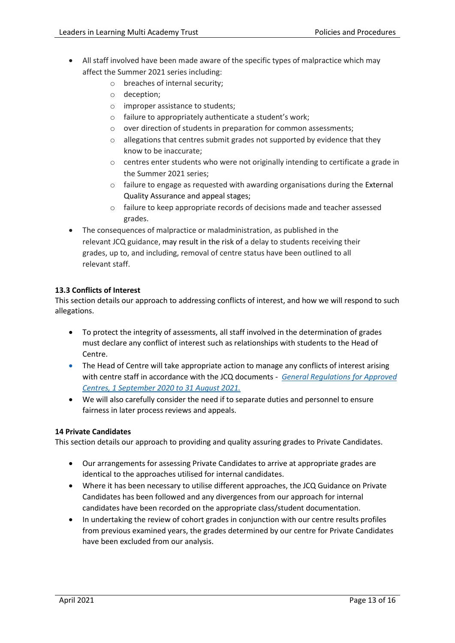- All staff involved have been made aware of the specific types of malpractice which may affect the Summer 2021 series including:
	- o breaches of internal security;
	- o deception;
	- o improper assistance to students;
	- o failure to appropriately authenticate a student's work;
	- o over direction of students in preparation for common assessments;
	- $\circ$  allegations that centres submit grades not supported by evidence that they know to be inaccurate;
	- o centres enter students who were not originally intending to certificate a grade in the Summer 2021 series;
	- o failure to engage as requested with awarding organisations during the External Quality Assurance and appeal stages;
	- $\circ$  failure to keep appropriate records of decisions made and teacher assessed grades.
- The consequences of malpractice or maladministration, as published in the relevant JCQ guidance, may result in the risk of a delay to students receiving their grades, up to, and including, removal of centre status have been outlined to all relevant staff.

# **13.3 Conflicts of Interest**

This section details our approach to addressing conflicts of interest, and how we will respond to such allegations.

- To protect the integrity of assessments, all staff involved in the determination of grades must declare any conflict of interest such as relationships with students to the Head of Centre.
- The Head of Centre will take appropriate action to manage any conflicts of interest arising with centre staff in accordance with the JCQ documents - *[General Regulations for Approved](https://www.jcq.org.uk/wp-content/uploads/2020/09/Gen_regs_approved_centres_20-21_FINAL.pdf)  [Centres, 1 September 2020 to 31 August 2021.](https://www.jcq.org.uk/wp-content/uploads/2020/09/Gen_regs_approved_centres_20-21_FINAL.pdf)*
- We will also carefully consider the need if to separate duties and personnel to ensure fairness in later process reviews and appeals.

# **14 Private Candidates**

This section details our approach to providing and quality assuring grades to Private Candidates.

- Our arrangements for assessing Private Candidates to arrive at appropriate grades are identical to the approaches utilised for internal candidates.
- Where it has been necessary to utilise different approaches, the JCQ Guidance on Private Candidates has been followed and any divergences from our approach for internal candidates have been recorded on the appropriate class/student documentation.
- In undertaking the review of cohort grades in conjunction with our centre results profiles from previous examined years, the grades determined by our centre for Private Candidates have been excluded from our analysis.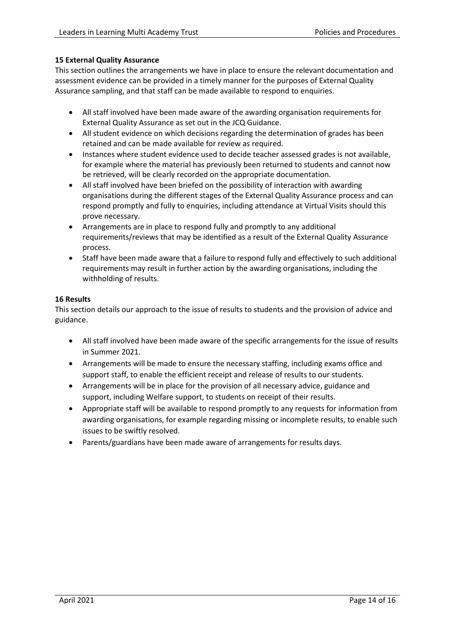# **15 External Quality Assurance**

This section outlines the arrangements we have in place to ensure the relevant documentation and assessment evidence can be provided in a timely manner for the purposes of External Quality Assurance sampling, and that staff can be made available to respond to enquiries.

- All staff involved have been made aware of the awarding organisation requirements for External Quality Assurance as set out in the JCQ Guidance.
- All student evidence on which decisions regarding the determination of grades has been retained and can be made available for review as required.
- Instances where student evidence used to decide teacher assessed grades is not available, for example where the material has previously been returned to students and cannot now be retrieved, will be clearly recorded on the appropriate documentation.
- All staff involved have been briefed on the possibility of interaction with awarding organisations during the different stages of the External Quality Assurance process and can respond promptly and fully to enquiries, including attendance at Virtual Visits should this prove necessary.
- Arrangements are in place to respond fully and promptly to any additional requirements/reviews that may be identified as a result of the External Quality Assurance process.
- Staff have been made aware that a failure to respond fully and effectively to such additional requirements may result in further action by the awarding organisations, including the withholding of results.

### **16 Results**

This section details our approach to the issue of results to students and the provision of advice and guidance.

- All staff involved have been made aware of the specific arrangements for the issue of results in Summer 2021.
- Arrangements will be made to ensure the necessary staffing, including exams office and support staff, to enable the efficient receipt and release of results to our students.
- Arrangements will be in place for the provision of all necessary advice, guidance and support, including Welfare support, to students on receipt of their results.
- Appropriate staff will be available to respond promptly to any requests for information from awarding organisations, for example regarding missing or incomplete results, to enable such issues to be swiftly resolved.
- Parents/guardians have been made aware of arrangements for results days.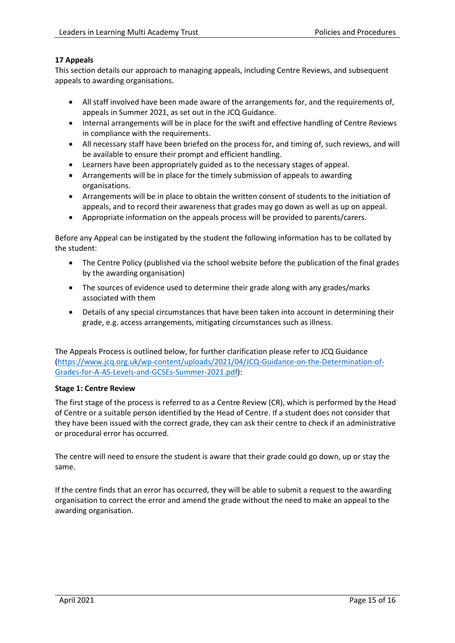# **17 Appeals**

This section details our approach to managing appeals, including Centre Reviews, and subsequent appeals to awarding organisations.

- All staff involved have been made aware of the arrangements for, and the requirements of, appeals in Summer 2021, as set out in the JCQ Guidance.
- Internal arrangements will be in place for the swift and effective handling of Centre Reviews in compliance with the requirements.
- All necessary staff have been briefed on the process for, and timing of, such reviews, and will be available to ensure their prompt and efficient handling.
- Learners have been appropriately guided as to the necessary stages of appeal.
- Arrangements will be in place for the timely submission of appeals to awarding organisations.
- Arrangements will be in place to obtain the written consent of students to the initiation of appeals, and to record their awareness that grades may go down as well as up on appeal.
- Appropriate information on the appeals process will be provided to parents/carers.

Before any Appeal can be instigated by the student the following information has to be collated by the student:

- The Centre Policy (published via the school website before the publication of the final grades by the awarding organisation)
- The sources of evidence used to determine their grade along with any grades/marks associated with them
- Details of any special circumstances that have been taken into account in determining their grade, e.g. access arrangements, mitigating circumstances such as illness.

The Appeals Process is outlined below, for further clarification please refer to JCQ Guidance [\(https://www.jcq.org.uk/wp-content/uploads/2021/04/JCQ-Guidance-on-the-Determination-of-](https://www.jcq.org.uk/wp-content/uploads/2021/04/JCQ-Guidance-on-the-Determination-of-Grades-for-A-AS-Levels-and-GCSEs-Summer-2021.pdf)[Grades-for-A-AS-Levels-and-GCSEs-Summer-2021.pdf\)](https://www.jcq.org.uk/wp-content/uploads/2021/04/JCQ-Guidance-on-the-Determination-of-Grades-for-A-AS-Levels-and-GCSEs-Summer-2021.pdf):

#### **Stage 1: Centre Review**

The first stage of the process is referred to as a Centre Review (CR), which is performed by the Head of Centre or a suitable person identified by the Head of Centre. If a student does not consider that they have been issued with the correct grade, they can ask their centre to check if an administrative or procedural error has occurred.

The centre will need to ensure the student is aware that their grade could go down, up or stay the same.

If the centre finds that an error has occurred, they will be able to submit a request to the awarding organisation to correct the error and amend the grade without the need to make an appeal to the awarding organisation.